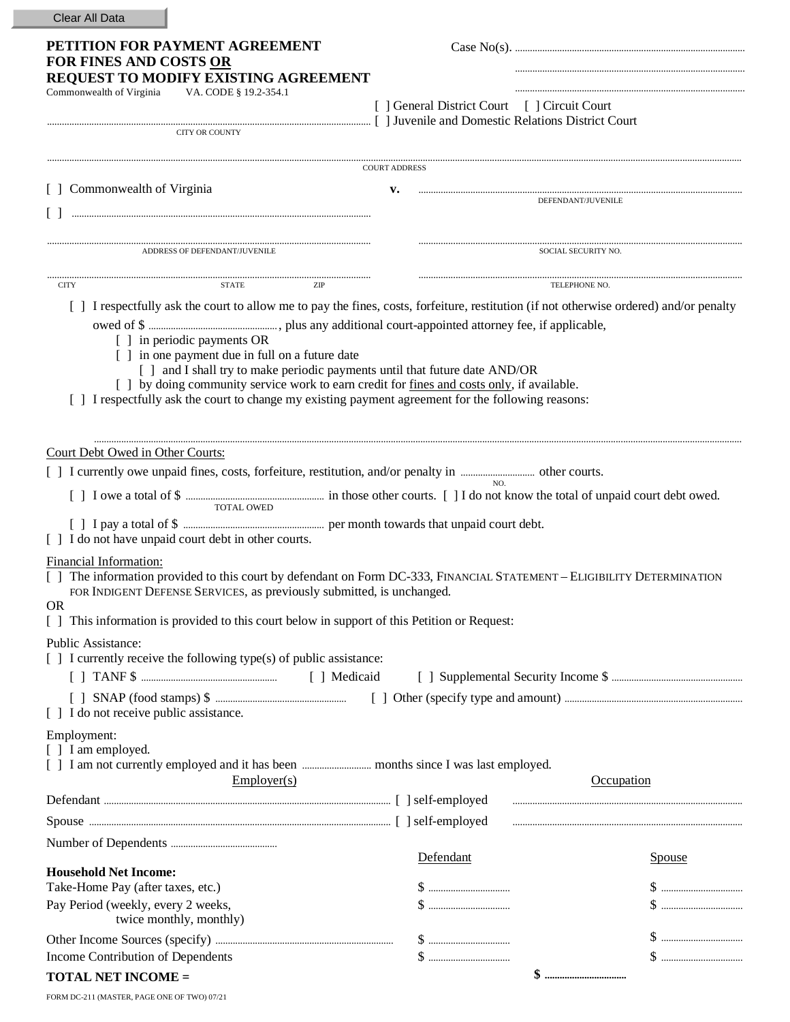| Clear All Data                                                                                                                                                                                                                                                                                                                                                     |                                              |                     |
|--------------------------------------------------------------------------------------------------------------------------------------------------------------------------------------------------------------------------------------------------------------------------------------------------------------------------------------------------------------------|----------------------------------------------|---------------------|
| PETITION FOR PAYMENT AGREEMENT<br>FOR FINES AND COSTS OR                                                                                                                                                                                                                                                                                                           |                                              |                     |
| REQUEST TO MODIFY EXISTING AGREEMENT<br>Commonwealth of Virginia<br>VA. CODE § 19.2-354.1                                                                                                                                                                                                                                                                          |                                              |                     |
| Example and Domestic Relations District Court (2014) and Domestic Relations District Court                                                                                                                                                                                                                                                                         | [ ] General District Court [ ] Circuit Court |                     |
| <b>CITY OR COUNTY</b>                                                                                                                                                                                                                                                                                                                                              |                                              |                     |
|                                                                                                                                                                                                                                                                                                                                                                    |                                              |                     |
| [ ] Commonwealth of Virginia                                                                                                                                                                                                                                                                                                                                       | <b>COURT ADDRESS</b><br>v.                   |                     |
|                                                                                                                                                                                                                                                                                                                                                                    |                                              | DEFENDANT/JUVENILE  |
|                                                                                                                                                                                                                                                                                                                                                                    |                                              |                     |
| ADDRESS OF DEFENDANT/JUVENILE                                                                                                                                                                                                                                                                                                                                      |                                              | SOCIAL SECURITY NO. |
| <b>CITY</b><br><b>STATE</b><br>ZIP                                                                                                                                                                                                                                                                                                                                 |                                              | TELEPHONE NO.       |
| [ ] I respectfully ask the court to allow me to pay the fines, costs, forfeiture, restitution (if not otherwise ordered) and/or penalty                                                                                                                                                                                                                            |                                              |                     |
| [ ] in periodic payments OR<br>[ ] in one payment due in full on a future date<br>[ ] and I shall try to make periodic payments until that future date AND/OR<br>[ ] by doing community service work to earn credit for fines and costs only, if available.<br>[ ] I respectfully ask the court to change my existing payment agreement for the following reasons: |                                              |                     |
| Court Debt Owed in Other Courts:                                                                                                                                                                                                                                                                                                                                   |                                              |                     |
|                                                                                                                                                                                                                                                                                                                                                                    |                                              |                     |
| TOTAL OWED                                                                                                                                                                                                                                                                                                                                                         |                                              |                     |
| [ ] I do not have unpaid court debt in other courts.                                                                                                                                                                                                                                                                                                               |                                              |                     |
| Financial Information:<br>[] The information provided to this court by defendant on Form DC-333, FINANCIAL STATEMENT – ELIGIBILITY DETERMINATION<br>FOR INDIGENT DEFENSE SERVICES, as previously submitted, is unchanged.                                                                                                                                          |                                              |                     |
| <b>OR</b><br>This information is provided to this court below in support of this Petition or Request:                                                                                                                                                                                                                                                              |                                              |                     |
| Public Assistance:<br>[ ] I currently receive the following type(s) of public assistance:                                                                                                                                                                                                                                                                          |                                              |                     |
|                                                                                                                                                                                                                                                                                                                                                                    |                                              |                     |
| [ ] I do not receive public assistance.                                                                                                                                                                                                                                                                                                                            |                                              |                     |
| Employment:<br>[ ] I am employed.                                                                                                                                                                                                                                                                                                                                  |                                              |                     |
|                                                                                                                                                                                                                                                                                                                                                                    |                                              |                     |
| Emplover(s)                                                                                                                                                                                                                                                                                                                                                        |                                              | Occupation          |
|                                                                                                                                                                                                                                                                                                                                                                    |                                              |                     |
|                                                                                                                                                                                                                                                                                                                                                                    |                                              |                     |
|                                                                                                                                                                                                                                                                                                                                                                    | Defendant                                    |                     |
| <b>Household Net Income:</b>                                                                                                                                                                                                                                                                                                                                       |                                              | Spouse              |
| Take-Home Pay (after taxes, etc.)                                                                                                                                                                                                                                                                                                                                  |                                              |                     |
| Pay Period (weekly, every 2 weeks,<br>twice monthly, monthly)                                                                                                                                                                                                                                                                                                      |                                              |                     |
|                                                                                                                                                                                                                                                                                                                                                                    |                                              |                     |
| Income Contribution of Dependents                                                                                                                                                                                                                                                                                                                                  |                                              |                     |
| <b>TOTAL NET INCOME =</b>                                                                                                                                                                                                                                                                                                                                          |                                              | \$                  |
| FORM DC-211 (MASTER, PAGE ONE OF TWO) 07/21                                                                                                                                                                                                                                                                                                                        |                                              |                     |

п